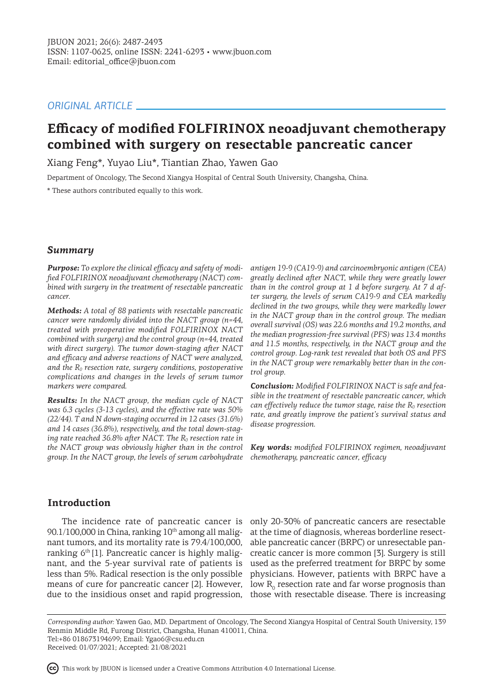# *ORIGINAL ARTICLE*

# **Efficacy of modified FOLFIRINOX neoadjuvant chemotherapy combined with surgery on resectable pancreatic cancer**

Xiang Feng\*, Yuyao Liu\*, Tiantian Zhao, Yawen Gao

Department of Oncology, The Second Xiangya Hospital of Central South University, Changsha, China.

\* These authors contributed equally to this work.

## *Summary*

*Purpose: To explore the clinical efficacy and safety of modified FOLFIRINOX neoadjuvant chemotherapy (NACT) combined with surgery in the treatment of resectable pancreatic cancer.*

*Methods: A total of 88 patients with resectable pancreatic cancer were randomly divided into the NACT group (n=44, treated with preoperative modified FOLFIRINOX NACT combined with surgery) and the control group (n=44, treated with direct surgery). The tumor down-staging after NACT and efficacy and adverse reactions of NACT were analyzed, and the R0 resection rate, surgery conditions, postoperative complications and changes in the levels of serum tumor markers were compared.*

*Results: In the NACT group, the median cycle of NACT was 6.3 cycles (3-13 cycles), and the effective rate was 50% (22/44). T and N down-staging occurred in 12 cases (31.6%) and 14 cases (36.8%), respectively, and the total down-staging rate reached 36.8% after NACT. The R0 resection rate in the NACT group was obviously higher than in the control group. In the NACT group, the levels of serum carbohydrate*  *antigen 19-9 (CA19-9) and carcinoembryonic antigen (CEA) greatly declined after NACT, while they were greatly lower than in the control group at 1 d before surgery. At 7 d after surgery, the levels of serum CA19-9 and CEA markedly declined in the two groups, while they were markedly lower in the NACT group than in the control group. The median overall survival (OS) was 22.6 months and 19.2 months, and the median progression-free survival (PFS) was 13.4 months and 11.5 months, respectively, in the NACT group and the control group. Log-rank test revealed that both OS and PFS in the NACT group were remarkably better than in the control group.*

*Conclusion: Modified FOLFIRINOX NACT is safe and feasible in the treatment of resectable pancreatic cancer, which can effectively reduce the tumor stage, raise the R0 resection rate, and greatly improve the patient's survival status and disease progression.*

*Key words: modified FOLFIRINOX regimen, neoadjuvant chemotherapy, pancreatic cancer, efficacy*

# **Introduction**

 $90.1/100,000$  in China, ranking  $10<sup>th</sup>$  among all malignant tumors, and its mortality rate is 79.4/100,000, ranking  $6<sup>th</sup>[1]$ . Pancreatic cancer is highly malignant, and the 5-year survival rate of patients is less than 5%. Radical resection is the only possible means of cure for pancreatic cancer [2]. However, due to the insidious onset and rapid progression,

The incidence rate of pancreatic cancer is only 20-30% of pancreatic cancers are resectable at the time of diagnosis, whereas borderline resectable pancreatic cancer (BRPC) or unresectable pancreatic cancer is more common [3]. Surgery is still used as the preferred treatment for BRPC by some physicians. However, patients with BRPC have a low  $R_{0}$  resection rate and far worse prognosis than those with resectable disease. There is increasing

*Corresponding author:* Yawen Gao, MD. Department of Oncology, The Second Xiangya Hospital of Central South University, 139 Renmin Middle Rd, Furong District, Changsha, Hunan 410011, China. Tel:+86 018673194699; Email: Ygao6@csu.edu.cn

Received: 01/07/2021; Accepted: 21/08/2021

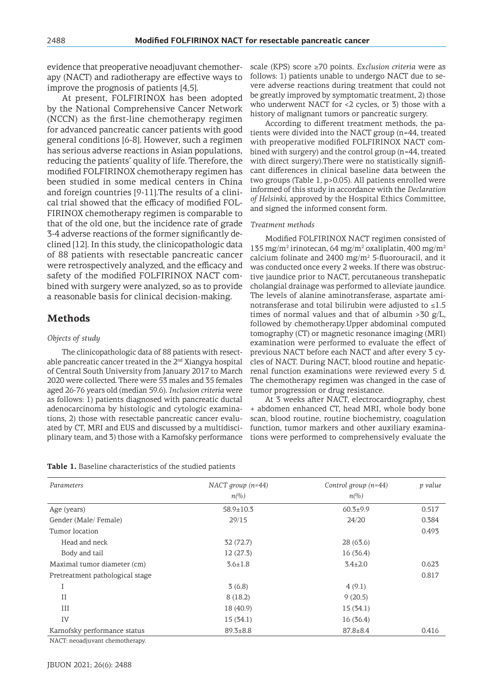evidence that preoperative neoadjuvant chemotherapy (NACT) and radiotherapy are effective ways to improve the prognosis of patients [4,5].

At present, FOLFIRINOX has been adopted by the National Comprehensive Cancer Network (NCCN) as the first-line chemotherapy regimen for advanced pancreatic cancer patients with good general conditions [6-8]. However, such a regimen has serious adverse reactions in Asian populations, reducing the patients' quality of life. Therefore, the modified FOLFIRINOX chemotherapy regimen has been studied in some medical centers in China and foreign countries [9-11].The results of a clinical trial showed that the efficacy of modified FOL-FIRINOX chemotherapy regimen is comparable to that of the old one, but the incidence rate of grade 3-4 adverse reactions of the former significantly declined [12]. In this study, the clinicopathologic data of 88 patients with resectable pancreatic cancer were retrospectively analyzed, and the efficacy and safety of the modified FOLFIRINOX NACT combined with surgery were analyzed, so as to provide a reasonable basis for clinical decision-making.

## **Methods**

### *Objects of study*

The clinicopathologic data of 88 patients with resectable pancreatic cancer treated in the  $2<sup>nd</sup>$  Xiangya hospital of Central South University from January 2017 to March 2020 were collected. There were 53 males and 35 females aged 26-76 years old (median 59.6). *Inclusion criteria* were as follows: 1) patients diagnosed with pancreatic ductal adenocarcinoma by histologic and cytologic examinations, 2) those with resectable pancreatic cancer evaluated by CT, MRI and EUS and discussed by a multidisciplinary team, and 3) those with a Karnofsky performance

|  |  | Table 1. Baseline characteristics of the studied patients |  |  |  |  |  |  |
|--|--|-----------------------------------------------------------|--|--|--|--|--|--|
|--|--|-----------------------------------------------------------|--|--|--|--|--|--|

scale (KPS) score ≥70 points. *Exclusion criteria* were as follows: 1) patients unable to undergo NACT due to severe adverse reactions during treatment that could not be greatly improved by symptomatic treatment, 2) those who underwent NACT for <2 cycles, or 3) those with a history of malignant tumors or pancreatic surgery.

According to different treatment methods, the patients were divided into the NACT group (n=44, treated with preoperative modified FOLFIRINOX NACT combined with surgery) and the control group (n=44, treated with direct surgery).There were no statistically significant differences in clinical baseline data between the two groups (Table 1, p>0.05). All patients enrolled were informed of this study in accordance with the *Declaration of Helsinki*, approved by the Hospital Ethics Committee, and signed the informed consent form.

#### *Treatment methods*

Modified FOLFIRINOX NACT regimen consisted of 135 mg/m<sup>2</sup> irinotecan, 64 mg/m<sup>2</sup> oxaliplatin, 400 mg/m<sup>2</sup> calcium folinate and  $2400$  mg/m<sup>2</sup> 5-fluorouracil, and it was conducted once every 2 weeks. If there was obstructive jaundice prior to NACT, percutaneous transhepatic cholangial drainage was performed to alleviate jaundice. The levels of alanine aminotransferase, aspartate aminotransferase and total bilirubin were adjusted to  $\leq 1.5$ times of normal values and that of albumin  $>30$  g/L, followed by chemotherapy.Upper abdominal computed tomography (CT) or magnetic resonance imaging (MRI) examination were performed to evaluate the effect of previous NACT before each NACT and after every 3 cycles of NACT. During NACT, blood routine and hepaticrenal function examinations were reviewed every 5 d. The chemotherapy regimen was changed in the case of tumor progression or drug resistance.

At 3 weeks after NACT, electrocardiography, chest + abdomen enhanced CT, head MRI, whole body bone scan, blood routine, routine biochemistry, coagulation function, tumor markers and other auxiliary examinations were performed to comprehensively evaluate the

| Parameters                      | NACT group $(n=44)$ | Control group $(n=44)$   | p value |
|---------------------------------|---------------------|--------------------------|---------|
|                                 | $n\llap/0$          | $n\llap{$\binom{0}{0}$}$ |         |
| Age (years)                     | $58.9 \pm 10.3$     | $60.3+9.9$               | 0.517   |
| Gender (Male/Female)            | 29/15               | 24/20                    | 0.384   |
| Tumor location                  |                     |                          | 0.493   |
| Head and neck                   | 32(72.7)            | 28 (63.6)                |         |
| Body and tail                   | 12(27.3)            | 16(36.4)                 |         |
| Maximal tumor diameter (cm)     | $3.6 \pm 1.8$       | $3.4 \pm 2.0$            | 0.623   |
| Pretreatment pathological stage |                     |                          | 0.817   |
| I                               | 3(6.8)              | 4(9.1)                   |         |
| II                              | 8(18.2)             | 9(20.5)                  |         |
| III                             | 18 (40.9)           | 15(34.1)                 |         |
| IV                              | 15(34.1)            | 16(36.4)                 |         |
| Karnofsky performance status    | $89.3 \pm 8.8$      | $87.8 \pm 8.4$           | 0.416   |

NACT: neoadjuvant chemotherapy.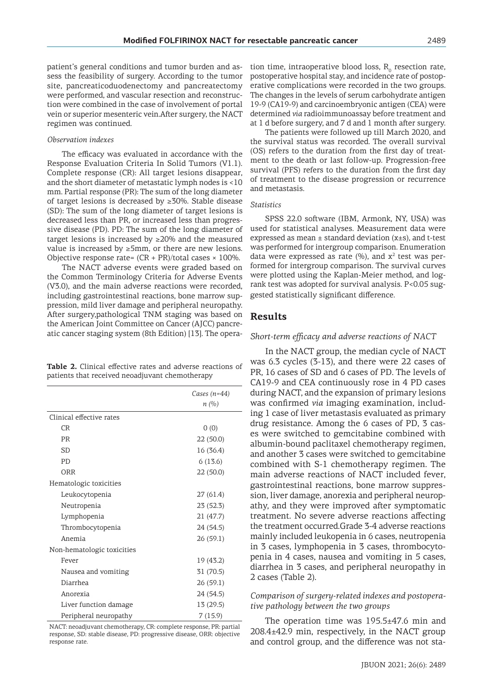patient's general conditions and tumor burden and assess the feasibility of surgery. According to the tumor site, pancreaticoduodenectomy and pancreatectomy were performed, and vascular resection and reconstruction were combined in the case of involvement of portal vein or superior mesenteric vein.After surgery, the NACT regimen was continued.

#### *Observation indexes*

The efficacy was evaluated in accordance with the Response Evaluation Criteria In Solid Tumors (V1.1). Complete response (CR): All target lesions disappear, and the short diameter of metastatic lymph nodes is <10 mm. Partial response (PR): The sum of the long diameter of target lesions is decreased by ≥30%. Stable disease (SD): The sum of the long diameter of target lesions is decreased less than PR, or increased less than progressive disease (PD). PD: The sum of the long diameter of target lesions is increased by  $\geq$ 20% and the measured value is increased by ≥5mm, or there are new lesions. Objective response rate=  $(CR + PR)/total$  cases  $\times$  100%.

The NACT adverse events were graded based on the Common Terminology Criteria for Adverse Events (V3.0), and the main adverse reactions were recorded, including gastrointestinal reactions, bone marrow suppression, mild liver damage and peripheral neuropathy. After surgery,pathological TNM staging was based on the American Joint Committee on Cancer (AJCC) pancreatic cancer staging system (8th Edition) [13]. The opera-

**Table 2.** Clinical effective rates and adverse reactions of patients that received neoadjuvant chemotherapy

|                            | Cases $(n=44)$ |
|----------------------------|----------------|
|                            | n(%)           |
| Clinical effective rates   |                |
| CR                         | 0(0)           |
| PR                         | 22(50.0)       |
| SD                         | 16 (36.4)      |
| <b>PD</b>                  | 6(13.6)        |
| ORR                        | 22 (50.0)      |
| Hematologic toxicities     |                |
| Leukocytopenia             | 27 (61.4)      |
| Neutropenia                | 23(52.3)       |
| Lymphopenia                | 21 (47.7)      |
| Thrombocytopenia           | 24 (54.5)      |
| Anemia                     | 26 (59.1)      |
| Non-hematologic toxicities |                |
| Fever                      | 19(43.2)       |
| Nausea and vomiting        | 31 (70.5)      |
| Diarrhea                   | 26(59.1)       |
| Anorexia                   | 24 (54.5)      |
| Liver function damage      | 13 (29.5)      |
| Peripheral neuropathy      | 7(15.9)        |

NACT: neoadjuvant chemotherapy, CR: complete response, PR: partial response, SD: stable disease, PD: progressive disease, ORR: objective response rate.

tion time, intraoperative blood loss,  $R_{0}$  resection rate, postoperative hospital stay, and incidence rate of postoperative complications were recorded in the two groups. The changes in the levels of serum carbohydrate antigen 19-9 (CA19-9) and carcinoembryonic antigen (CEA) were determined *via* radioimmunoassay before treatment and at 1 d before surgery, and 7 d and 1 month after surgery.

The patients were followed up till March 2020, and the survival status was recorded. The overall survival (OS) refers to the duration from the first day of treatment to the death or last follow-up. Progression-free survival (PFS) refers to the duration from the first day of treatment to the disease progression or recurrence and metastasis.

#### *Statistics*

SPSS 22.0 software (IBM, Armonk, NY, USA) was used for statistical analyses. Measurement data were expressed as mean  $\pm$  standard deviation (x $\pm$ s), and t-test was performed for intergroup comparison. Enumeration data were expressed as rate  $(\%)$ , and  $x^2$  test was performed for intergroup comparison. The survival curves were plotted using the Kaplan-Meier method, and logrank test was adopted for survival analysis. P<0.05 suggested statistically significant difference.

## **Results**

#### *Short-term efficacy and adverse reactions of NACT*

In the NACT group, the median cycle of NACT was 6.3 cycles (3-13), and there were 22 cases of PR, 16 cases of SD and 6 cases of PD. The levels of CA19-9 and CEA continuously rose in 4 PD cases during NACT, and the expansion of primary lesions was confirmed *via* imaging examination, includ- $\overline{\phantom{a}}$  ing 1 case of liver metastasis evaluated as primary drug resistance. Among the 6 cases of PD, 3 cases were switched to gemcitabine combined with albumin-bound paclitaxel chemotherapy regimen, and another 3 cases were switched to gemcitabine combined with S-1 chemotherapy regimen. The main adverse reactions of NACT included fever, gastrointestinal reactions, bone marrow suppression, liver damage, anorexia and peripheral neuropathy, and they were improved after symptomatic treatment. No severe adverse reactions affecting the treatment occurred.Grade 3-4 adverse reactions mainly included leukopenia in 6 cases, neutropenia in 3 cases, lymphopenia in 3 cases, thrombocytopenia in 4 cases, nausea and vomiting in 5 cases, diarrhea in 3 cases, and peripheral neuropathy in 2 cases (Table 2).

## *Comparison of surgery-related indexes and postoperative pathology between the two groups*

The operation time was 195.5±47.6 min and 208.4±42.9 min, respectively, in the NACT group and control group, and the difference was not sta-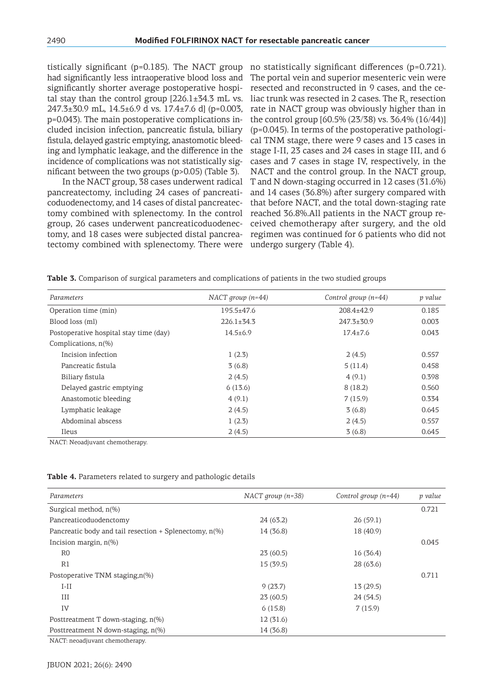tistically significant (p=0.185). The NACT group had significantly less intraoperative blood loss and significantly shorter average postoperative hospital stay than the control group  $[226.1 \pm 34.3 \text{ mL}$  vs. 247.3±30.9 mL, 14.5±6.9 d vs. 17.4±7.6 d] (p=0.003, p=0.043). The main postoperative complications included incision infection, pancreatic fistula, biliary fistula, delayed gastric emptying, anastomotic bleeding and lymphatic leakage, and the difference in the incidence of complications was not statistically significant between the two groups (p>0.05) (Table 3).

In the NACT group, 38 cases underwent radical pancreatectomy, including 24 cases of pancreaticoduodenectomy, and 14 cases of distal pancreatectomy combined with splenectomy. In the control group, 26 cases underwent pancreaticoduodenectomy, and 18 cases were subjected distal pancreatectomy combined with splenectomy. There were

no statistically significant differences (p=0.721). The portal vein and superior mesenteric vein were resected and reconstructed in 9 cases, and the celiac trunk was resected in 2 cases. The  $\mathrm{R_{o}}$  resection rate in NACT group was obviously higher than in the control group [60.5% (23/38) vs. 36.4% (16/44)] (p=0.045). In terms of the postoperative pathological TNM stage, there were 9 cases and 13 cases in stage I-II, 23 cases and 24 cases in stage III, and 6 cases and 7 cases in stage IV, respectively, in the NACT and the control group. In the NACT group, T and N down-staging occurred in 12 cases (31.6%) and 14 cases (36.8%) after surgery compared with that before NACT, and the total down-staging rate reached 36.8%.All patients in the NACT group received chemotherapy after surgery, and the old regimen was continued for 6 patients who did not undergo surgery (Table 4).

| Parameters                             | NACT group $(n=44)$ | Control group $(n=44)$ | p value |
|----------------------------------------|---------------------|------------------------|---------|
| Operation time (min)                   | $195.5 \pm 47.6$    | 208.4±42.9             | 0.185   |
| Blood loss (ml)                        | $226.1+34.3$        | $247.3 + 30.9$         | 0.003   |
| Postoperative hospital stay time (day) | $14.5 \pm 6.9$      | $17.4 \pm 7.6$         | 0.043   |
| Complications, $n(\%)$                 |                     |                        |         |
| Incision infection                     | 1(2.3)              | 2(4.5)                 | 0.557   |
| Pancreatic fistula                     | 3(6.8)              | 5(11.4)                | 0.458   |
| Biliary fistula                        | 2(4.5)              | 4(9.1)                 | 0.398   |
| Delayed gastric emptying               | 6(13.6)             | 8(18.2)                | 0.560   |
| Anastomotic bleeding                   | 4(9.1)              | 7(15.9)                | 0.334   |
| Lymphatic leakage                      | 2(4.5)              | 3(6.8)                 | 0.645   |
| Abdominal abscess                      | 1(2.3)              | 2(4.5)                 | 0.557   |
| Ileus                                  | 2(4.5)              | 3(6.8)                 | 0.645   |

**Table 3.** Comparison of surgical parameters and complications of patients in the two studied groups

NACT: Neoadjuvant chemotherapy.

| Parameters                                                  | NACT group $(n=38)$ | Control group $(n=44)$ | p value |
|-------------------------------------------------------------|---------------------|------------------------|---------|
| Surgical method, $n\%$                                      |                     |                        | 0.721   |
| Pancreaticoduodenctomy                                      | 24(63.2)            | 26(59.1)               |         |
| Pancreatic body and tail resection $+$ Splenectomy, $n(\%)$ | 14 (36.8)           | 18 (40.9)              |         |
| Incision margin, $n(\%)$                                    |                     |                        | 0.045   |
| R <sub>0</sub>                                              | 23(60.5)            | 16(36.4)               |         |
| R1                                                          | 15(39.5)            | 28 (63.6)              |         |
| Postoperative TNM staging, n(%)                             |                     |                        | 0.711   |
| $I-II$                                                      | 9(23.7)             | 13(29.5)               |         |
| III                                                         | 23(60.5)            | 24 (54.5)              |         |
| IV                                                          | 6(15.8)             | 7(15.9)                |         |
| Posttreatment T down-staging, $n\ll 0$                      | 12(31.6)            |                        |         |
| Posttreatment N down-staging, $n(\%)$                       | 14 (36.8)           |                        |         |

**Table 4.** Parameters related to surgery and pathologic details

NACT: neoadjuvant chemotherapy.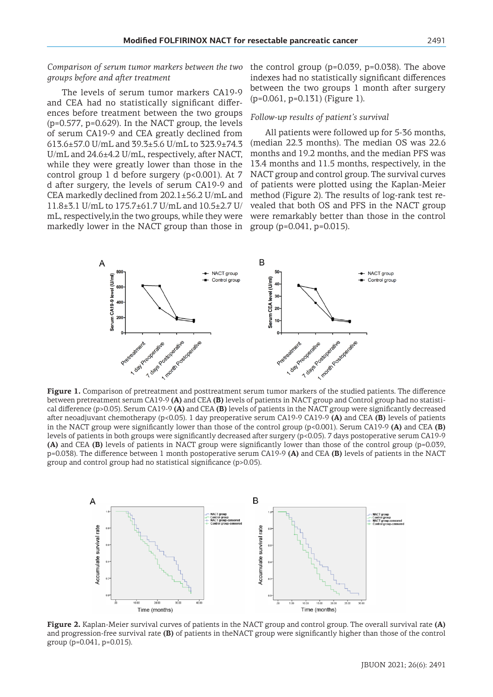*Comparison of serum tumor markers between the two groups before and after treatment*

The levels of serum tumor markers CA19-9 and CEA had no statistically significant differences before treatment between the two groups (p=0.577, p=0.629). In the NACT group, the levels of serum CA19-9 and CEA greatly declined from 613.6±57.0 U/mL and 39.3±5.6 U/mL to 323.9±74.3 U/mL and 24.6±4.2 U/mL, respectively, after NACT, while they were greatly lower than those in the control group 1 d before surgery (p<0.001). At 7 d after surgery, the levels of serum CA19-9 and CEA markedly declined from 202.1±56.2 U/mL and 11.8±3.1 U/mL to 175.7±61.7 U/mL and 10.5±2.7 U/ mL, respectively,in the two groups, while they were markedly lower in the NACT group than those in the control group (p=0.039, p=0.038). The above indexes had no statistically significant differences between the two groups 1 month after surgery (p=0.061, p=0.131) (Figure 1).

### *Follow-up results of patient's survival*

All patients were followed up for 5-36 months, (median 22.3 months). The median OS was 22.6 months and 19.2 months, and the median PFS was 13.4 months and 11.5 months, respectively, in the NACT group and control group. The survival curves of patients were plotted using the Kaplan-Meier method (Figure 2). The results of log-rank test revealed that both OS and PFS in the NACT group were remarkably better than those in the control group (p=0.041, p=0.015).



**Figure 1.** Comparison of pretreatment and posttreatment serum tumor markers of the studied patients. The difference between pretreatment serum CA19-9 **(A)** and CEA **(B)** levels of patients in NACT group and Control group had no statistical difference (p>0.05). Serum CA19-9 **(A)** and CEA **(B)** levels of patients in the NACT group were significantly decreased after neoadjuvant chemotherapy (p<0.05). 1 day preoperative serum CA19-9 CA19-9 **(A)** and CEA **(B)** levels of patients in the NACT group were significantly lower than those of the control group (p<0.001). Serum CA19-9 **(A)** and CEA **(B)**  levels of patients in both groups were significantly decreased after surgery (p<0.05). 7 days postoperative serum CA19-9 **(A)** and CEA **(B)** levels of patients in NACT group were significantly lower than those of the control group (p=0.039, p=0.038). The difference between 1 month postoperative serum CA19-9 **(A)** and CEA **(B)** levels of patients in the NACT group and control group had no statistical significance (p>0.05).



**Figure 2.** Kaplan-Meier survival curves of patients in the NACT group and control group. The overall survival rate **(A)** and progression-free survival rate **(B)** of patients in theNACT group were significantly higher than those of the control group (p=0.041, p=0.015).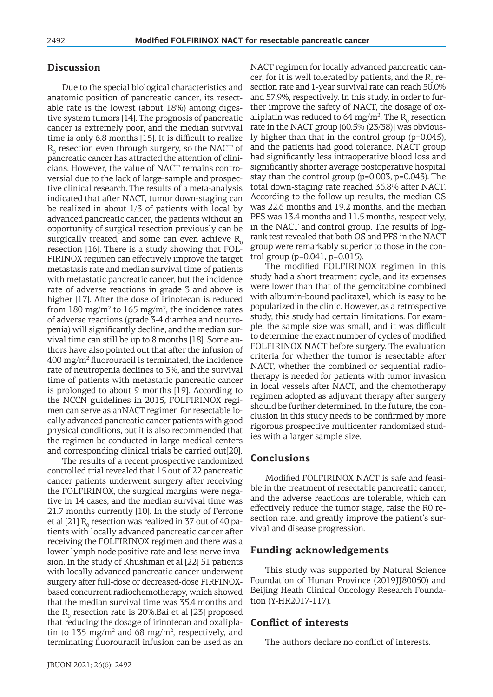## **Discussion**

Due to the special biological characteristics and anatomic position of pancreatic cancer, its resectable rate is the lowest (about 18%) among digestive system tumors [14]. The prognosis of pancreatic cancer is extremely poor, and the median survival time is only 6.8 months [15]. It is difficult to realize  $\rm R_{o}$  resection even through surgery, so the NACT of pancreatic cancer has attracted the attention of clinicians. However, the value of NACT remains controversial due to the lack of large-sample and prospective clinical research. The results of a meta-analysis indicated that after NACT, tumor down-staging can be realized in about 1/3 of patients with local by advanced pancreatic cancer, the patients without an opportunity of surgical resection previously can be surgically treated, and some can even achieve  $R_{0}$ resection [16]. There is a study showing that FOL-FIRINOX regimen can effectively improve the target metastasis rate and median survival time of patients with metastatic pancreatic cancer, but the incidence rate of adverse reactions in grade 3 and above is higher [17]. After the dose of irinotecan is reduced from 180 mg/m<sup>2</sup> to 165 mg/m<sup>2</sup>, the incidence rates of adverse reactions (grade 3-4 diarrhea and neutropenia) will significantly decline, and the median survival time can still be up to 8 months [18]. Some authors have also pointed out that after the infusion of  $400\ \mathrm{mg/m^2}$  fluorouracil is terminated, the incidence rate of neutropenia declines to 3%, and the survival time of patients with metastatic pancreatic cancer is prolonged to about 9 months [19]. According to the NCCN guidelines in 2015, FOLFIRINOX regimen can serve as anNACT regimen for resectable locally advanced pancreatic cancer patients with good physical conditions, but it is also recommended that the regimen be conducted in large medical centers and corresponding clinical trials be carried out[20].

The results of a recent prospective randomized controlled trial revealed that 15 out of 22 pancreatic cancer patients underwent surgery after receiving the FOLFIRINOX, the surgical margins were negative in 14 cases, and the median survival time was 21.7 months currently [10]. In the study of Ferrone et al [21]  $\rm R_{_0}$  resection was realized in 37 out of 40 patients with locally advanced pancreatic cancer after receiving the FOLFIRINOX regimen and there was a lower lymph node positive rate and less nerve invasion. In the study of Khushman et al [22] 51 patients with locally advanced pancreatic cancer underwent surgery after full-dose or decreased-dose FIRFINOXbased concurrent radiochemotherapy, which showed that the median survival time was 35.4 months and the  $\rm R_{o}$  resection rate is 20%.Bai et al [23] proposed that reducing the dosage of irinotecan and oxaliplatin to 135 mg/m<sup>2</sup> and 68 mg/m<sup>2</sup>, respectively, and terminating fluorouracil infusion can be used as an

NACT regimen for locally advanced pancreatic cancer, for it is well tolerated by patients, and the  $R_0$  resection rate and 1-year survival rate can reach 50.0% and 57.9%, respectively. In this study, in order to further improve the safety of NACT, the dosage of oxaliplatin was reduced to 64 mg/m<sup>2</sup>. The  $R_0$  resection rate in the NACT group [60.5% (23/38)] was obviously higher than that in the control group (p=0.045), and the patients had good tolerance. NACT group had significantly less intraoperative blood loss and significantly shorter average postoperative hospital stay than the control group (p=0.003, p=0.043). The total down-staging rate reached 36.8% after NACT. According to the follow-up results, the median OS was 22.6 months and 19.2 months, and the median PFS was 13.4 months and 11.5 months, respectively, in the NACT and control group. The results of logrank test revealed that both OS and PFS in the NACT group were remarkably superior to those in the control group (p=0.041, p=0.015).

The modified FOLFIRINOX regimen in this study had a short treatment cycle, and its expenses were lower than that of the gemcitabine combined with albumin-bound paclitaxel, which is easy to be popularized in the clinic. However, as a retrospective study, this study had certain limitations. For example, the sample size was small, and it was difficult to determine the exact number of cycles of modified FOLFIRINOX NACT before surgery. The evaluation criteria for whether the tumor is resectable after NACT, whether the combined or sequential radiotherapy is needed for patients with tumor invasion in local vessels after NACT, and the chemotherapy regimen adopted as adjuvant therapy after surgery should be further determined. In the future, the conclusion in this study needs to be confirmed by more rigorous prospective multicenter randomized studies with a larger sample size.

## **Conclusions**

Modified FOLFIRINOX NACT is safe and feasible in the treatment of resectable pancreatic cancer, and the adverse reactions are tolerable, which can effectively reduce the tumor stage, raise the R0 resection rate, and greatly improve the patient's survival and disease progression.

## **Funding acknowledgements**

This study was supported by Natural Science Foundation of Hunan Province (2019JJ80050) and Beijing Heath Clinical Oncology Research Foundation (Y-HR2017-117).

## **Conflict of interests**

The authors declare no conflict of interests.